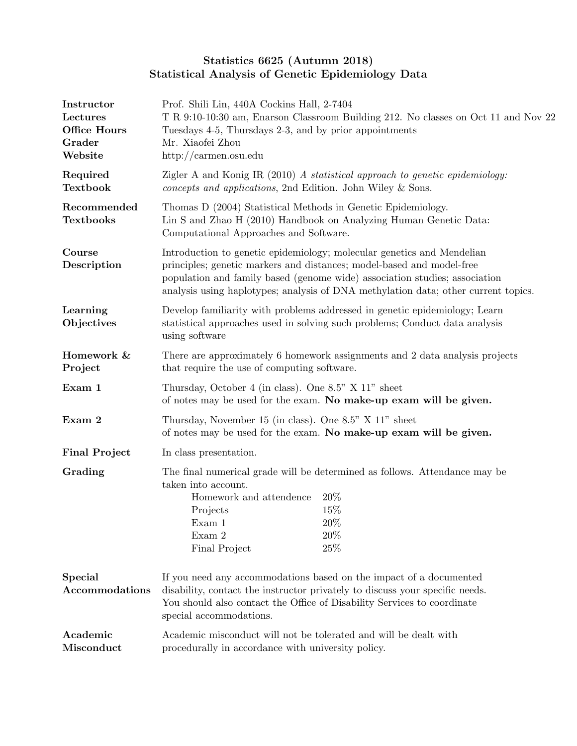## Statistics 6625 (Autumn 2018) Statistical Analysis of Genetic Epidemiology Data

| Instructor<br>Lectures<br><b>Office Hours</b><br>Grader<br>Website | Prof. Shili Lin, 440A Cockins Hall, 2-7404<br>T R 9:10-10:30 am, Enarson Classroom Building 212. No classes on Oct 11 and Nov 22<br>Tuesdays 4-5, Thursdays 2-3, and by prior appointments<br>Mr. Xiaofei Zhou<br>http://carmen.osu.edu                                                                             |                                                                            |  |
|--------------------------------------------------------------------|---------------------------------------------------------------------------------------------------------------------------------------------------------------------------------------------------------------------------------------------------------------------------------------------------------------------|----------------------------------------------------------------------------|--|
| Required<br><b>Textbook</b>                                        | Zigler A and Konig IR (2010) A statistical approach to genetic epidemiology:<br>concepts and applications, 2nd Edition. John Wiley & Sons.                                                                                                                                                                          |                                                                            |  |
| Recommended<br><b>Textbooks</b>                                    | Thomas D (2004) Statistical Methods in Genetic Epidemiology.<br>Lin S and Zhao H (2010) Handbook on Analyzing Human Genetic Data:<br>Computational Approaches and Software.                                                                                                                                         |                                                                            |  |
| Course<br>Description                                              | Introduction to genetic epidemiology; molecular genetics and Mendelian<br>principles; genetic markers and distances; model-based and model-free<br>population and family based (genome wide) association studies; association<br>analysis using haplotypes; analysis of DNA methylation data; other current topics. |                                                                            |  |
| Learning<br>Objectives                                             | Develop familiarity with problems addressed in genetic epidemiology; Learn<br>statistical approaches used in solving such problems; Conduct data analysis<br>using software                                                                                                                                         |                                                                            |  |
| Homework &<br>Project                                              | There are approximately 6 homework assignments and 2 data analysis projects<br>that require the use of computing software.                                                                                                                                                                                          |                                                                            |  |
| Exam 1                                                             | Thursday, October 4 (in class). One 8.5" X 11" sheet<br>of notes may be used for the exam. No make-up exam will be given.                                                                                                                                                                                           |                                                                            |  |
| Exam 2                                                             | Thursday, November 15 (in class). One 8.5" X 11" sheet<br>of notes may be used for the exam. No make-up exam will be given.                                                                                                                                                                                         |                                                                            |  |
| <b>Final Project</b>                                               | In class presentation.                                                                                                                                                                                                                                                                                              |                                                                            |  |
| Grading<br>taken into account.                                     |                                                                                                                                                                                                                                                                                                                     | The final numerical grade will be determined as follows. Attendance may be |  |
|                                                                    | Homework and attendence<br>Projects                                                                                                                                                                                                                                                                                 | $20\%$<br>15%                                                              |  |
|                                                                    | Exam 1                                                                                                                                                                                                                                                                                                              | $20\%$                                                                     |  |
|                                                                    | Exam 2<br>Final Project                                                                                                                                                                                                                                                                                             | $20\%$<br>$25\%$                                                           |  |
| <b>Special</b><br>Accommodations                                   | If you need any accommodations based on the impact of a documented<br>disability, contact the instructor privately to discuss your specific needs.<br>You should also contact the Office of Disability Services to coordinate<br>special accommodations.                                                            |                                                                            |  |
| Academic<br>Misconduct                                             | Academic misconduct will not be tolerated and will be dealt with<br>procedurally in accordance with university policy.                                                                                                                                                                                              |                                                                            |  |